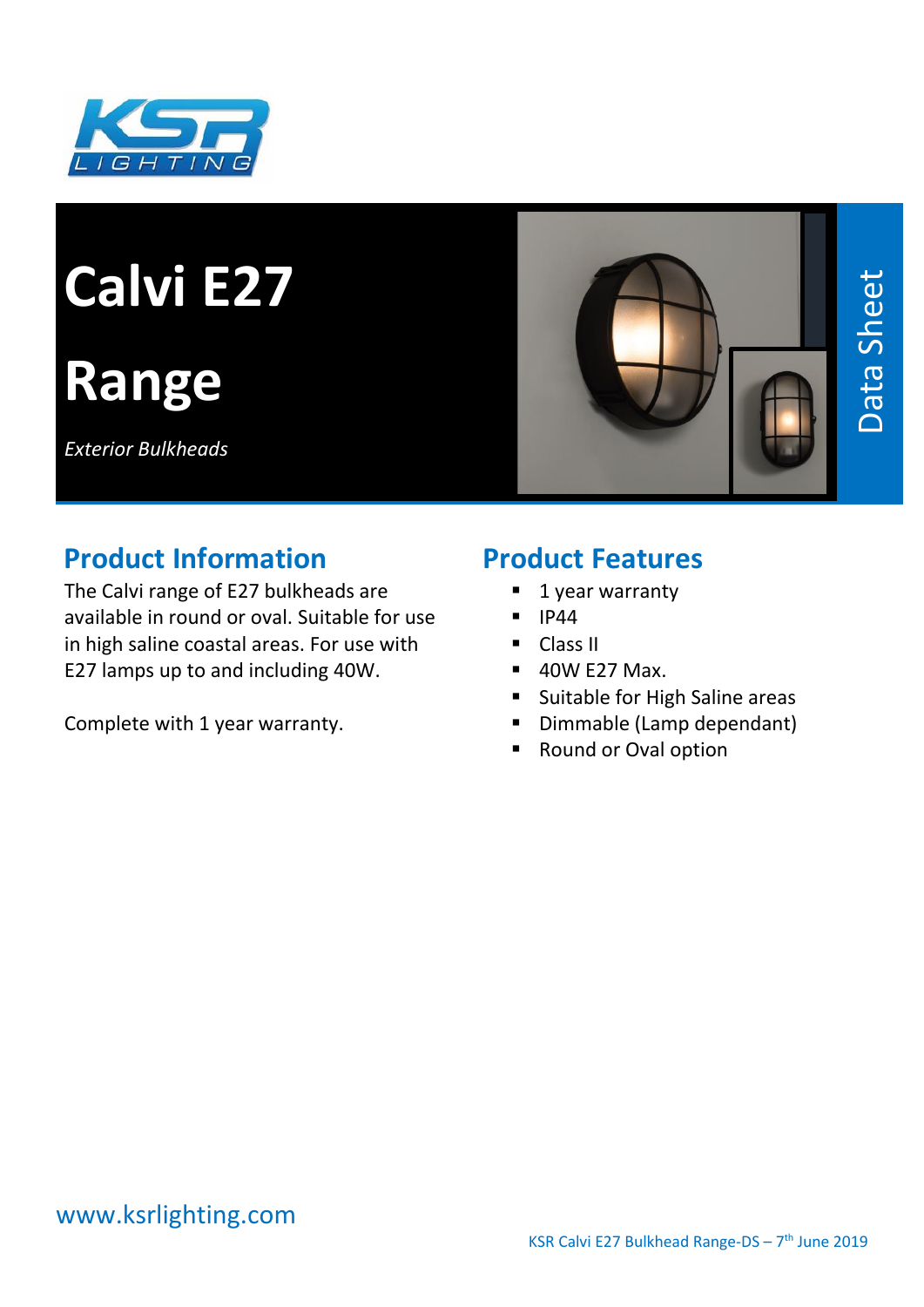

# **Calvi E27**

# **Range**

*Exterior Bulkheads*



# **Product Information**

The Calvi range of E27 bulkheads are available in round or oval. Suitable for use in high saline coastal areas. For use with E27 lamps up to and including 40W.

Complete with 1 year warranty.

#### **Product Features**

- 1 year warranty
- IP44
- Class II
- 40W E27 Max.
- Suitable for High Saline areas
- Dimmable (Lamp dependant)
- Round or Oval option

#### www.ksrlighting.com